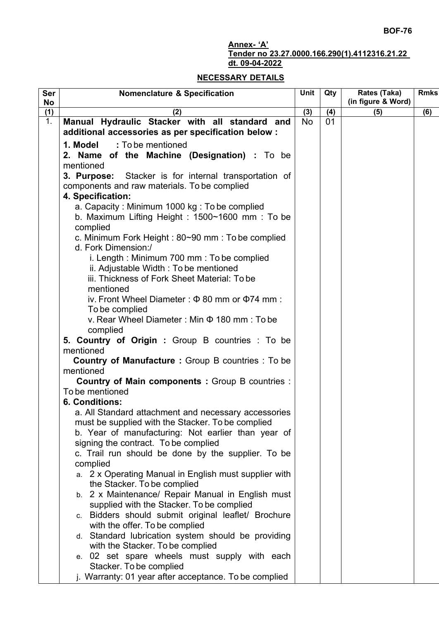## **Annex- 'A'**

## **Tender no 23.27.0000.166.290(1).4112316.21.22 dt. 09-04-2022**

## **NECESSARY DETAILS**

| <b>Ser</b><br><b>No</b> | <b>Nomenclature &amp; Specification</b>                                                                    | Unit      | Qty | Rates (Taka)<br>(in figure & Word) | <b>Rmks</b> |
|-------------------------|------------------------------------------------------------------------------------------------------------|-----------|-----|------------------------------------|-------------|
| (1)                     | (2)                                                                                                        | (3)       | (4) | (5)                                | (6)         |
| 1.                      | Manual Hydraulic Stacker with all standard and                                                             | <b>No</b> | 01  |                                    |             |
|                         | additional accessories as per specification below :                                                        |           |     |                                    |             |
|                         | 1. Model<br>: To be mentioned                                                                              |           |     |                                    |             |
|                         | 2. Name of the Machine (Designation) : To be                                                               |           |     |                                    |             |
|                         | mentioned                                                                                                  |           |     |                                    |             |
|                         | Stacker is for internal transportation of<br>3. Purpose:<br>components and raw materials. To be complied   |           |     |                                    |             |
|                         | 4. Specification:                                                                                          |           |     |                                    |             |
|                         | a. Capacity: Minimum 1000 kg: To be complied<br>b. Maximum Lifting Height: 1500~1600 mm: To be<br>complied |           |     |                                    |             |
|                         | c. Minimum Fork Height: 80~90 mm: To be complied                                                           |           |     |                                    |             |
|                         | d. Fork Dimension:/                                                                                        |           |     |                                    |             |
|                         | i. Length: Minimum 700 mm: To be complied                                                                  |           |     |                                    |             |
|                         | ii. Adjustable Width: To be mentioned                                                                      |           |     |                                    |             |
|                         | iii. Thickness of Fork Sheet Material: To be                                                               |           |     |                                    |             |
|                         | mentioned                                                                                                  |           |     |                                    |             |
|                         | iv. Front Wheel Diameter: $\Phi$ 80 mm or $\Phi$ 74 mm:                                                    |           |     |                                    |             |
|                         | To be complied<br>ν. Rear Wheel Diameter: Min Φ 180 mm: To be                                              |           |     |                                    |             |
|                         | complied                                                                                                   |           |     |                                    |             |
|                         | 5. Country of Origin : Group B countries : To be<br>mentioned                                              |           |     |                                    |             |
|                         | <b>Country of Manufacture: Group B countries: To be</b>                                                    |           |     |                                    |             |
|                         | mentioned                                                                                                  |           |     |                                    |             |
|                         | <b>Country of Main components: Group B countries:</b>                                                      |           |     |                                    |             |
|                         | To be mentioned                                                                                            |           |     |                                    |             |
|                         | <b>6. Conditions:</b>                                                                                      |           |     |                                    |             |
|                         | a. All Standard attachment and necessary accessories                                                       |           |     |                                    |             |
|                         | must be supplied with the Stacker. To be complied<br>b. Year of manufacturing: Not earlier than year of    |           |     |                                    |             |
|                         | signing the contract. To be complied                                                                       |           |     |                                    |             |
|                         | c. Trail run should be done by the supplier. To be                                                         |           |     |                                    |             |
|                         | complied                                                                                                   |           |     |                                    |             |
|                         | a. 2 x Operating Manual in English must supplier with                                                      |           |     |                                    |             |
|                         | the Stacker. To be complied                                                                                |           |     |                                    |             |
|                         | b. 2 x Maintenance/ Repair Manual in English must                                                          |           |     |                                    |             |
|                         | supplied with the Stacker. To be complied                                                                  |           |     |                                    |             |
|                         | c. Bidders should submit original leaflet/ Brochure<br>with the offer. To be complied                      |           |     |                                    |             |
|                         | d. Standard lubrication system should be providing                                                         |           |     |                                    |             |
|                         | with the Stacker. To be complied                                                                           |           |     |                                    |             |
|                         | e. 02 set spare wheels must supply with each                                                               |           |     |                                    |             |
|                         | Stacker. To be complied                                                                                    |           |     |                                    |             |
|                         | j. Warranty: 01 year after acceptance. To be complied                                                      |           |     |                                    |             |